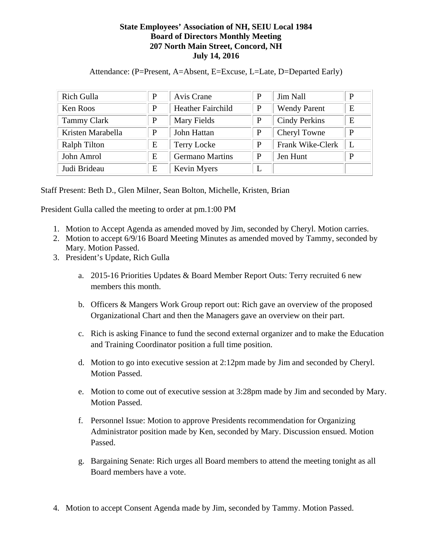## **State Employees' Association of NH, SEIU Local 1984 Board of Directors Monthly Meeting 207 North Main Street, Concord, NH July 14, 2016**

Attendance: (P=Present, A=Absent, E=Excuse, L=Late, D=Departed Early)

| <b>Rich Gulla</b>   | P | Avis Crane               | P | <b>Jim Nall</b>      | P |
|---------------------|---|--------------------------|---|----------------------|---|
| Ken Roos            | P | <b>Heather Fairchild</b> | P | <b>Wendy Parent</b>  | E |
| <b>Tammy Clark</b>  | P | Mary Fields              | P | <b>Cindy Perkins</b> | Е |
| Kristen Marabella   | P | John Hattan              | P | Cheryl Towne         | P |
| <b>Ralph Tilton</b> | E | <b>Terry Locke</b>       | P | Frank Wike-Clerk     | L |
| John Amrol          | E | <b>Germano Martins</b>   | P | Jen Hunt             | P |
| Judi Brideau        | E | Kevin Myers              | L |                      |   |

Staff Present: Beth D., Glen Milner, Sean Bolton, Michelle, Kristen, Brian

President Gulla called the meeting to order at pm.1:00 PM

- 1. Motion to Accept Agenda as amended moved by Jim, seconded by Cheryl. Motion carries.
- 2. Motion to accept 6/9/16 Board Meeting Minutes as amended moved by Tammy, seconded by Mary. Motion Passed.
- 3. President's Update, Rich Gulla
	- a. 2015-16 Priorities Updates & Board Member Report Outs: Terry recruited 6 new members this month.
	- b. Officers & Mangers Work Group report out: Rich gave an overview of the proposed Organizational Chart and then the Managers gave an overview on their part.
	- c. Rich is asking Finance to fund the second external organizer and to make the Education and Training Coordinator position a full time position.
	- d. Motion to go into executive session at 2:12pm made by Jim and seconded by Cheryl. Motion Passed.
	- e. Motion to come out of executive session at 3:28pm made by Jim and seconded by Mary. Motion Passed.
	- f. Personnel Issue: Motion to approve Presidents recommendation for Organizing Administrator position made by Ken, seconded by Mary. Discussion ensued. Motion Passed.
	- g. Bargaining Senate: Rich urges all Board members to attend the meeting tonight as all Board members have a vote.
- 4. Motion to accept Consent Agenda made by Jim, seconded by Tammy. Motion Passed.